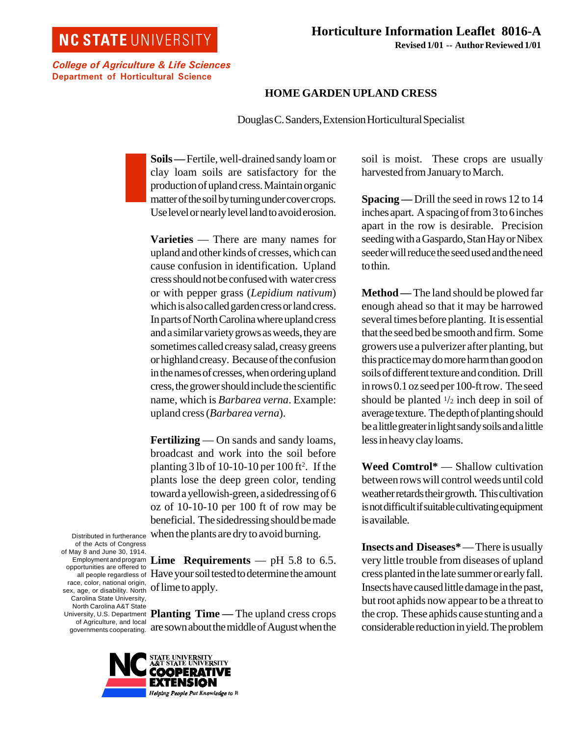## **NC STATE UNIVERSITY**

College of Agriculture & Life Sciences Department of Horticultural Science

## **HOME GARDEN UPLAND CRESS**

Douglas C. Sanders, Extension Horticultural Specialist

**Soils —** Fertile, well-drained sandy loam or clay loam soils are satisfactory for the production of upland cress. Maintain organic matter of the soil by turning under cover crops. Use level or nearly level land to avoid erosion.

**Varieties** — There are many names for upland and other kinds of cresses, which can cause confusion in identification. Upland cress should not be confused with water cress or with pepper grass (*Lepidium nativum*) which is also called garden cress or land cress. In parts of North Carolina where upland cress and a similar variety grows as weeds, they are sometimes called creasy salad, creasy greens or highland creasy. Because of the confusion in the names of cresses, when ordering upland cress, the grower should include the scientific name, which is *Barbarea verna*. Example: upland cress (*Barbarea verna*).

**Fertilizing** — On sands and sandy loams, broadcast and work into the soil before planting  $3$  lb of 10-10-10 per 100 ft<sup>2</sup>. If the plants lose the deep green color, tending toward a yellowish-green, a sidedressing of 6 oz of 10-10-10 per 100 ft of row may be beneficial. The sidedressing should be made when the plants are dry to avoid burning.

Distributed in furtherance of the Acts of Congress of May 8 and June 30, 1914. Employment and program opportunities are offered to all people regardless of race, color, national origin, sex, age, or disability. North Carolina State University, North Carolina A&T State University, U.S. Department of Agriculture, and local governments cooperating.

**Lime Requirements** — pH 5.8 to 6.5. Have your soil tested to determine the amount of lime to apply.

**Planting Time — The upland cress crops** are sown about the middle of August when the



soil is moist. These crops are usually harvested from January to March.

**Spacing —** Drill the seed in rows 12 to 14 inches apart. A spacing of from 3 to 6 inches apart in the row is desirable. Precision seeding with a Gaspardo, Stan Hay or Nibex seeder will reduce the seed used and the need to thin.

**Method —** The land should be plowed far enough ahead so that it may be harrowed several times before planting. It is essential that the seed bed be smooth and firm. Some growers use a pulverizer after planting, but this practice may do more harm than good on soils of different texture and condition. Drill in rows 0.1 oz seed per 100-ft row. The seed should be planted  $\frac{1}{2}$  inch deep in soil of average texture. The depth of planting should be a little greater in light sandy soils and a little less in heavy clay loams.

**Weed Comtrol\*** — Shallow cultivation between rows will control weeds until cold weather retards their growth. This cultivation is not difficult if suitable cultivating equipment is available.

**Insects and Diseases\*** — There is usually very little trouble from diseases of upland cress planted in the late summer or early fall. Insects have caused little damage in the past, but root aphids now appear to be a threat to the crop. These aphids cause stunting and a considerable reduction in yield. The problem